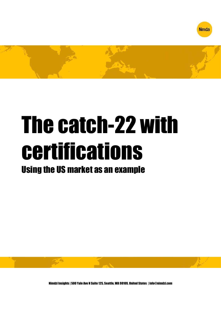



# The catch-22 with certifications

# Using the US market as an example



Nimdzi Insights | 500 Yale Ave N Suite 125, Seattle, WA 98109, United States | info@nimdzi.com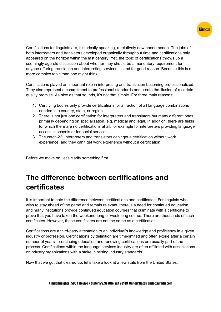

Certifications for linguists are, historically speaking, a relatively new phenomenon. The jobs of both interpreters and translators developed organically throughout time and certifications only appeared on the horizon within the last century. Yet, the topic of certifications throws up a seemingly age-old discussion about whether they should be a mandatory requirement for anyone offering translation and interpreting services — and for good reason. Because this is a more complex topic than one might think.

Certifications played an important role in interpreting and translation becoming professionalized. They also represent a commitment to professional standards and create the illusion of a certain quality promise. As nice as that sounds, it's not that simple. For three main reasons:

- 1. Certifying bodies only provide certifications for a fraction of all language combinations needed in a country, state, or region.
- 2. There is not just one certification for interpreters and translators but many different ones, primarily depending on specialization, e.g. medical and legal. In addition, there are fields for which there are no certifications at all, for example for interpreters providing language access in schools or for social services.
- 3. The catch-22: Interpreters and translators can't get a certification without work experience, and they can't get work experience without a certification.

Before we move on, let's clarify something first…

# The difference between certifications and certificates

It is important to note the difference between certifications and certificates. For linguists who wish to stay ahead of the game and remain relevant, there is a need for continued education, and many institutions provide continued education courses that culminate with a certificate to prove that you have taken the weekend-long or week-long course. There are thousands of such certificates. However, these certificates are not the same as a certification.

Certifications are a third-party attestation to an individual's knowledge and proficiency in a given industry or profession. Certifications by definition are time-limited and often expire after a certain number of years – continuing education and renewing certifications are usually part of the process. Certifications within the language services industry are often affiliated with associations or industry organizations with a stake in raising industry standards.

Now that we got that cleared up, let's take a look at a few stats from the United States.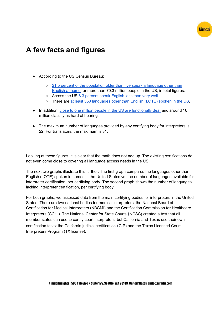

# A few facts and figures

- According to the US Census Bureau:
	- 21.5 percent of the population older than five speak a language other than English at home, or more than 70.3 million people in the US, in total figures.
	- Across the US 8.3 percent speak English less than very well.
	- There are at least 350 languages other than English (LOTE) spoken in the US.
- In addition, close to one million people in the US are functionally deaf and around 10 million classify as hard of hearing.
- The maximum number of languages provided by any certifying body for interpreters is 22. For translators, the maximum is 31.

Looking at these figures, it is clear that the math does not add up. The existing certifications do not even come close to covering all language access needs in the US.

The next two graphs illustrate this further. The first graph compares the languages other than English (LOTE) spoken in homes in the United States vs. the number of languages available for interpreter certification, per certifying body. The second graph shows the number of languages lacking interpreter certification, per certifying body.

For both graphs, we assessed data from the main certifying bodies for interpreters in the United States. There are two national bodies for medical interpreters, the National Board of Certification for Medical Interpreters (NBCMI) and the Certification Commission for Healthcare Interpreters (CCHI). The National Center for State Courts (NCSC) created a test that all member states can use to certify court interpreters, but California and Texas use their own certification tests: the California judicial certification (CIP) and the Texas Licensed Court Interpreters Program (TX license).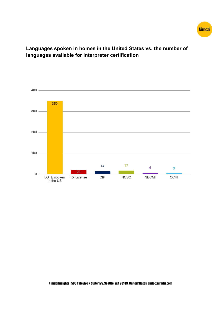

#### Languages spoken in homes in the United States vs. the number of languages available for interpreter certification

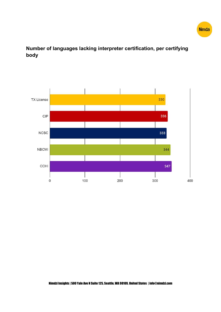

#### Number of languages lacking interpreter certification, per certifying body

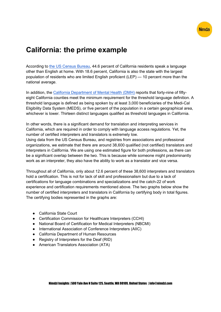

### California: the prime example

According to the US Census Bureau, 44.6 percent of California residents speak a language other than English at home. With 18.6 percent, California is also the state with the largest population of residents who are limited English proficient (LEP) — 10 percent more than the national average.

In addition, the California Department of Mental Health (DMH) reports that forty-nine of fiftyeight California counties meet the minimum requirement for the threshold language definition. A threshold language is defined as being spoken by at least 3,000 beneficiaries of the Medi-Cal Eligibility Data System (MEDS), or five percent of the population in a certain geographical area, whichever is lower. Thirteen distinct languages qualified as threshold languages in California.

In other words, there is a significant demand for translation and interpreting services in California, which are required in order to comply with language access regulations. Yet, the number of certified interpreters and translators is extremely low.

Using data from the US Census Bureau, and registries from associations and professional organizations, we estimate that there are around 38,600 qualified (not certified) translators and interpreters in California. We are using one estimated figure for both professions, as there can be a significant overlap between the two. This is because while someone might predominantly work as an interpreter, they also have the ability to work as a translator and vice versa.

Throughout all of California, only about 12.6 percent of these 38,600 interpreters and translators hold a certification. This is not for lack of skill and professionalism but due to a lack of certifications for language combinations and specializations and the catch-22 of work experience and certification requirements mentioned above. The two graphs below show the number of certified interpreters and translators in California by certifying body in total figures. The certifying bodies represented in the graphs are:

- California State Court
- Certification Commission for Healthcare Interpreters (CCHI)
- National Board of Certification for Medical Interpreters (NBCMI)
- International Association of Conference Interpreters (AIIC)
- California Department of Human Resources
- Registry of Interpreters for the Deaf (RID)
- American Translators Association (ATA)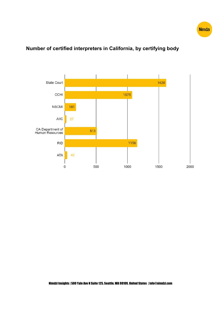

#### State Court 1620 CCHI 1075 **NBCMI** 181 **AIIC**  $27$ CA Department of<br>Human Resources 513 **RID** 1156 42 ATA 500 1000 1500 2000  $\mathbf 0$

#### Number of certified interpreters in California, by certifying body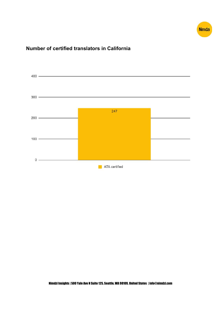

#### Number of certified translators in California